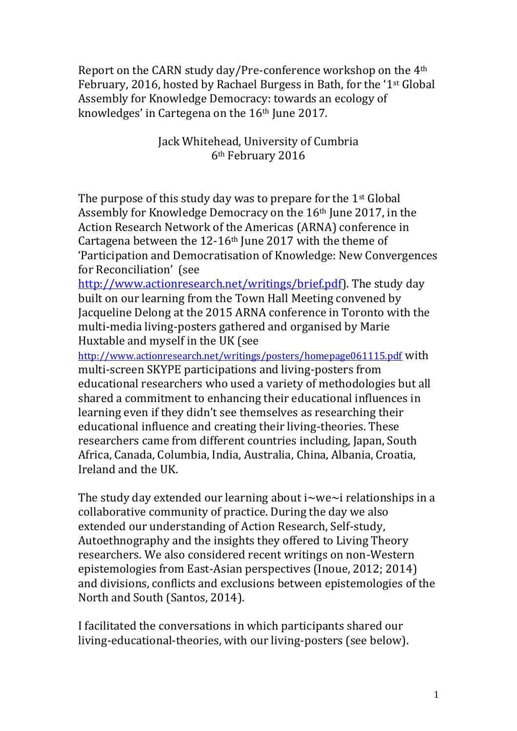Report on the CARN study day/Pre-conference workshop on the 4th February, 2016, hosted by Rachael Burgess in Bath, for the '1st Global Assembly for Knowledge Democracy: towards an ecology of knowledges' in Cartegena on the 16<sup>th</sup> June 2017.

> Jack Whitehead, University of Cumbria 6th February 2016

The purpose of this study day was to prepare for the  $1<sup>st</sup>$  Global Assembly for Knowledge Democracy on the 16th June 2017, in the Action Research Network of the Americas (ARNA) conference in Cartagena between the  $12-16$ <sup>th</sup> June 2017 with the theme of 'Participation and Democratisation of Knowledge: New Convergences for Reconciliation' (see

[http://www.actionresearch.net/writings/brief.pdf\)](http://www.actionresearch.net/writings/brief.pdf). The study day built on our learning from the Town Hall Meeting convened by Jacqueline Delong at the 2015 ARNA conference in Toronto with the multi-media living-posters gathered and organised by Marie Huxtable and myself in the UK (see

<http://www.actionresearch.net/writings/posters/homepage061115.pdf> with multi-screen SKYPE participations and living-posters from educational researchers who used a variety of methodologies but all shared a commitment to enhancing their educational influences in learning even if they didn't see themselves as researching their educational influence and creating their living-theories. These researchers came from different countries including, Japan, South Africa, Canada, Columbia, India, Australia, China, Albania, Croatia, Ireland and the UK.

The study day extended our learning about  $i$ ~we~i relationships in a collaborative community of practice. During the day we also extended our understanding of Action Research, Self-study, Autoethnography and the insights they offered to Living Theory researchers. We also considered recent writings on non-Western epistemologies from East-Asian perspectives (Inoue, 2012; 2014) and divisions, conflicts and exclusions between epistemologies of the North and South (Santos, 2014).

I facilitated the conversations in which participants shared our living-educational-theories, with our living-posters (see below).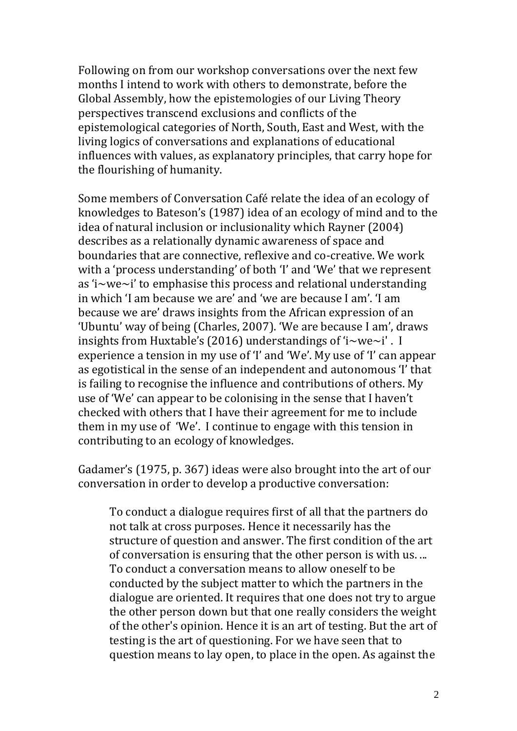Following on from our workshop conversations over the next few months I intend to work with others to demonstrate, before the Global Assembly, how the epistemologies of our Living Theory perspectives transcend exclusions and conflicts of the epistemological categories of North, South, East and West, with the living logics of conversations and explanations of educational influences with values, as explanatory principles, that carry hope for the flourishing of humanity.

Some members of Conversation Café relate the idea of an ecology of knowledges to Bateson's (1987) idea of an ecology of mind and to the idea of natural inclusion or inclusionality which Rayner (2004) describes as a relationally dynamic awareness of space and boundaries that are connective, reflexive and co-creative. We work with a 'process understanding' of both 'I' and 'We' that we represent as 'i~we~i' to emphasise this process and relational understanding in which 'I am because we are' and 'we are because I am'. 'I am because we are' draws insights from the African expression of an 'Ubuntu' way of being (Charles, 2007). 'We are because I am', draws insights from Huxtable's (2016) understandings of 'i~we~i' . I experience a tension in my use of 'I' and 'We'. My use of 'I' can appear as egotistical in the sense of an independent and autonomous 'I' that is failing to recognise the influence and contributions of others. My use of 'We' can appear to be colonising in the sense that I haven't checked with others that I have their agreement for me to include them in my use of 'We'. I continue to engage with this tension in contributing to an ecology of knowledges.

Gadamer's (1975, p. 367) ideas were also brought into the art of our conversation in order to develop a productive conversation:

To conduct a dialogue requires first of all that the partners do not talk at cross purposes. Hence it necessarily has the structure of question and answer. The first condition of the art of conversation is ensuring that the other person is with us. ... To conduct a conversation means to allow oneself to be conducted by the subject matter to which the partners in the dialogue are oriented. It requires that one does not try to argue the other person down but that one really considers the weight of the other's opinion. Hence it is an art of testing. But the art of testing is the art of questioning. For we have seen that to question means to lay open, to place in the open. As against the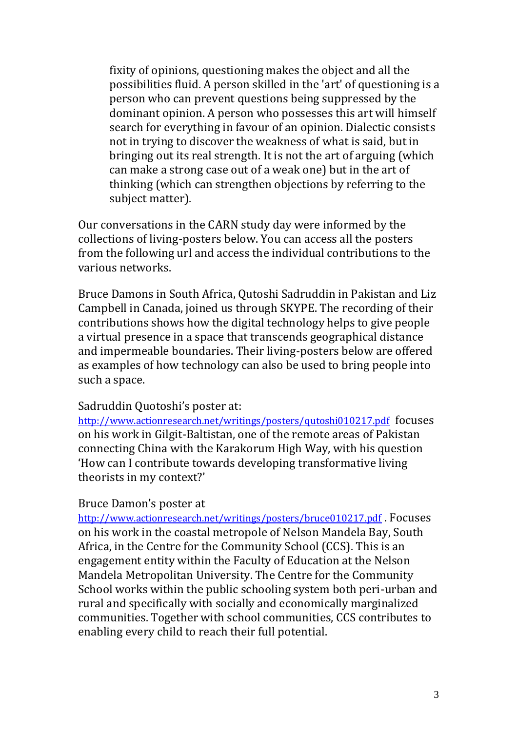fixity of opinions, questioning makes the object and all the possibilities fluid. A person skilled in the 'art' of questioning is a person who can prevent questions being suppressed by the dominant opinion. A person who possesses this art will himself search for everything in favour of an opinion. Dialectic consists not in trying to discover the weakness of what is said, but in bringing out its real strength. It is not the art of arguing (which can make a strong case out of a weak one) but in the art of thinking (which can strengthen objections by referring to the subject matter).

Our conversations in the CARN study day were informed by the collections of living-posters below. You can access all the posters from the following url and access the individual contributions to the various networks.

Bruce Damons in South Africa, Qutoshi Sadruddin in Pakistan and Liz Campbell in Canada, joined us through SKYPE. The recording of their contributions shows how the digital technology helps to give people a virtual presence in a space that transcends geographical distance and impermeable boundaries. Their living-posters below are offered as examples of how technology can also be used to bring people into such a space.

## Sadruddin Quotoshi's poster at:

<http://www.actionresearch.net/writings/posters/qutoshi010217.pdf> focuses on his work in Gilgit-Baltistan, one of the remote areas of Pakistan connecting China with the Karakorum High Way, with his question 'How can I contribute towards developing transformative living theorists in my context?'

## Bruce Damon's poster at

<http://www.actionresearch.net/writings/posters/bruce010217.pdf> . Focuses on his work in the coastal metropole of Nelson Mandela Bay, South Africa, in the Centre for the Community School (CCS). This is an engagement entity within the Faculty of Education at the Nelson Mandela Metropolitan University. The Centre for the Community School works within the public schooling system both peri-urban and rural and specifically with socially and economically marginalized communities. Together with school communities, CCS contributes to enabling every child to reach their full potential.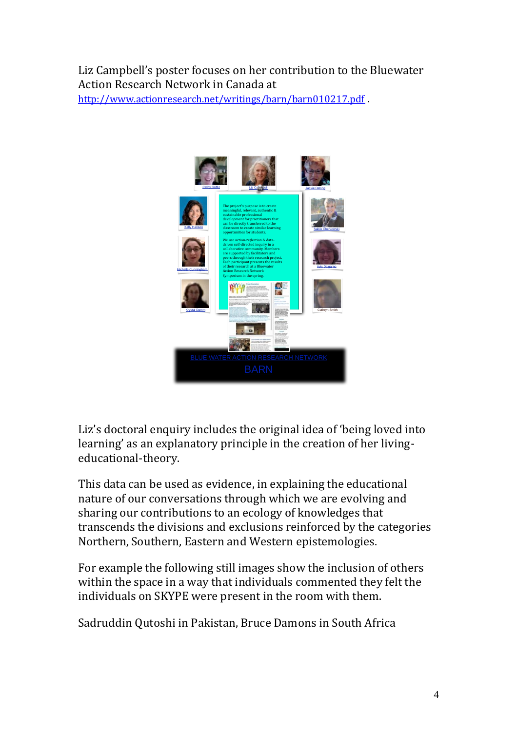## Liz Campbell's poster focuses on her contribution to the Bluewater Action Research Network in Canada at

<http://www.actionresearch.net/writings/barn/barn010217.pdf> .



Liz's doctoral enquiry includes the original idea of 'being loved into learning' as an explanatory principle in the creation of her livingeducational-theory.

This data can be used as evidence, in explaining the educational nature of our conversations through which we are evolving and sharing our contributions to an ecology of knowledges that transcends the divisions and exclusions reinforced by the categories Northern, Southern, Eastern and Western epistemologies.

For example the following still images show the inclusion of others within the space in a way that individuals commented they felt the individuals on SKYPE were present in the room with them.

Sadruddin Qutoshi in Pakistan, Bruce Damons in South Africa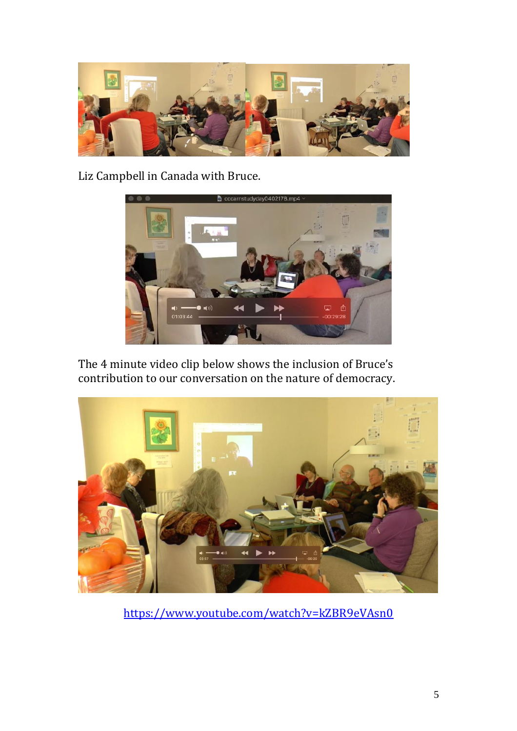

Liz Campbell in Canada with Bruce.



The 4 minute video clip below shows the inclusion of Bruce's contribution to our conversation on the nature of democracy.



<https://www.youtube.com/watch?v=kZBR9eVAsn0>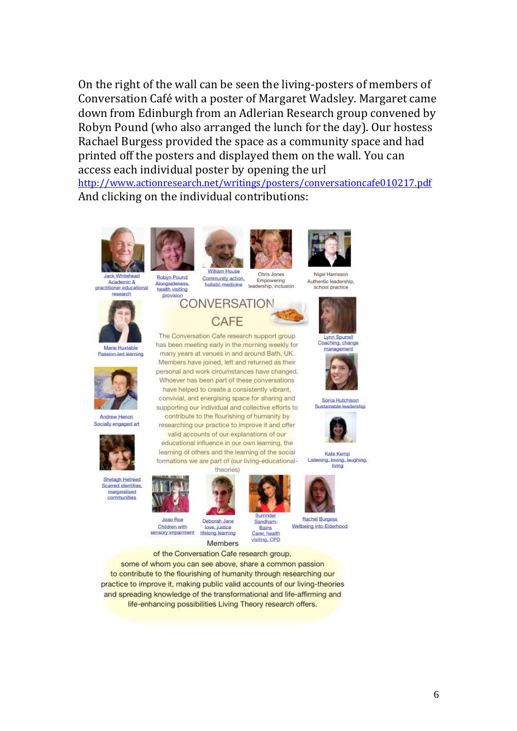On the right of the wall can be seen the living-posters of members of Conversation Café with a poster of Margaret Wadsley. Margaret came down from Edinburgh from an Adlerian Research group convened by Robyn Pound (who also arranged the lunch for the day). Our hostess Rachael Burgess provided the space as a community space and had printed off the posters and displayed them on the wall. You can access each individual poster by opening the url <http://www.actionresearch.net/writings/posters/conversationcafe010217.pdf> And clicking on the individual contributions:

**William House** 

Community action.

holistic medicine

**CONVERSATION** CAFF The Conversation Cafe research support group

has been meeting early in the morning weekly for

many years at venues in and around Bath, UK. Members have joined, left and returned as their

have helped to create a consistently vibrant,



Academic & practitioner educational



Marie Huxtable Passion-led learning



Andrew Henon Socially engaged art



Shelagh Hetreed Scarred identities. marginalis communities



**Robyn Pound** 

Alongsidances

health visiting

provision

sensory impairment



Deborah Jane love, justice lifelong learning



Sandham-Bains Carer, health



**Rachel Burgess** 







learning of others and the learning of the social Kate Kemp Listening, loving, laughing,



Wellbeing into Elderhood

visiting, CPD Members of the Conversation Cafe research group, some of whom you can see above, share a common passion

to contribute to the flourishing of humanity through researching our practice to improve it, making public valid accounts of our living-theories and spreading knowledge of the transformational and life-affirming and life-enhancing possibilities Living Theory research offers.

Ninal Harriccon Authentic leadership school practice



**Lynn Spurrell** Coaching, change



Sonia Hutchison



supporting our individual and collective efforts to contribute to the flourishing of humanity by researching our practice to improve it and offer valid accounts of our explanations of our educational influence in our own learning, the

Chris Jones

Empowering

leadership, inclusion



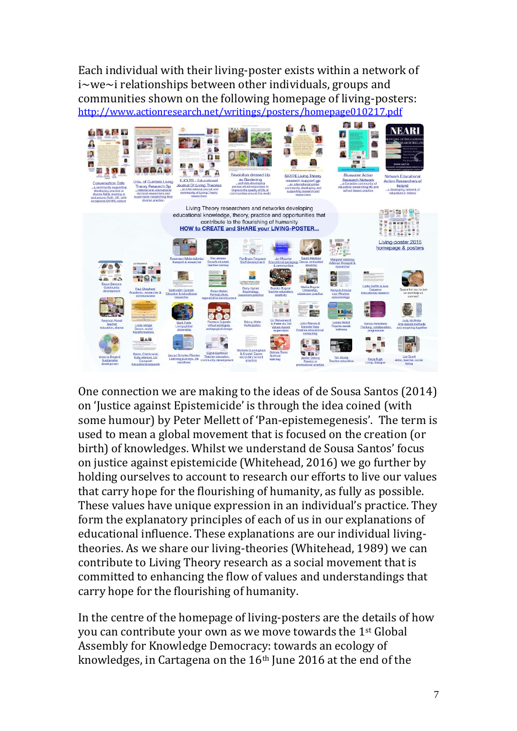Each individual with their living-poster exists within a network of i~we~i relationships between other individuals, groups and communities shown on the following homepage of living-posters: <http://www.actionresearch.net/writings/posters/homepage010217.pdf>



One connection we are making to the ideas of de Sousa Santos (2014) on 'Justice against Epistemicide' is through the idea coined (with some humour) by Peter Mellett of 'Pan-epistemegenesis'. The term is used to mean a global movement that is focused on the creation (or birth) of knowledges. Whilst we understand de Sousa Santos' focus on justice against epistemicide (Whitehead, 2016) we go further by holding ourselves to account to research our efforts to live our values that carry hope for the flourishing of humanity, as fully as possible. These values have unique expression in an individual's practice. They form the explanatory principles of each of us in our explanations of educational influence. These explanations are our individual livingtheories. As we share our living-theories (Whitehead, 1989) we can contribute to Living Theory research as a social movement that is committed to enhancing the flow of values and understandings that carry hope for the flourishing of humanity.

In the centre of the homepage of living-posters are the details of how you can contribute your own as we move towards the 1st Global Assembly for Knowledge Democracy: towards an ecology of knowledges, in Cartagena on the 16<sup>th</sup> June 2016 at the end of the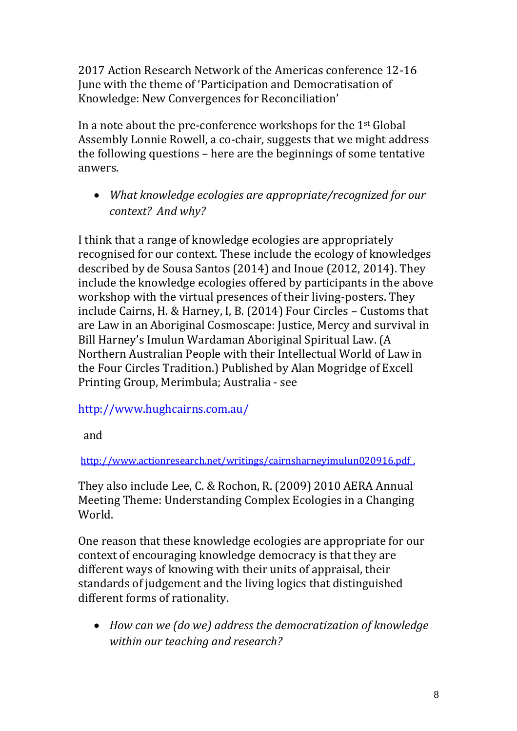2017 Action Research Network of the Americas conference 12-16 June with the theme of 'Participation and Democratisation of Knowledge: New Convergences for Reconciliation'

In a note about the pre-conference workshops for the 1st Global Assembly Lonnie Rowell, a co-chair, suggests that we might address the following questions – here are the beginnings of some tentative anwers.

• *What knowledge ecologies are appropriate/recognized for our context? And why?*

I think that a range of knowledge ecologies are appropriately recognised for our context. These include the ecology of knowledges described by de Sousa Santos (2014) and Inoue (2012, 2014). They include the knowledge ecologies offered by participants in the above workshop with the virtual presences of their living-posters. They include Cairns, H. & Harney, I, B. (2014) Four Circles – Customs that are Law in an Aboriginal Cosmoscape: Justice, Mercy and survival in Bill Harney's Imulun Wardaman Aboriginal Spiritual Law. (A Northern Australian People with their Intellectual World of Law in the Four Circles Tradition.) Published by Alan Mogridge of Excell Printing Group, Merimbula; Australia - see

<http://www.hughcairns.com.au/>

and

<http://www.actionresearch.net/writings/cairnsharneyimulun020916.pdf> .

They also include Lee, C. & Rochon, R. (2009) 2010 AERA Annual Meeting Theme: Understanding Complex Ecologies in a Changing World.

One reason that these knowledge ecologies are appropriate for our context of encouraging knowledge democracy is that they are different ways of knowing with their units of appraisal, their standards of judgement and the living logics that distinguished different forms of rationality.

• *How can we (do we) address the democratization of knowledge within our teaching and research?*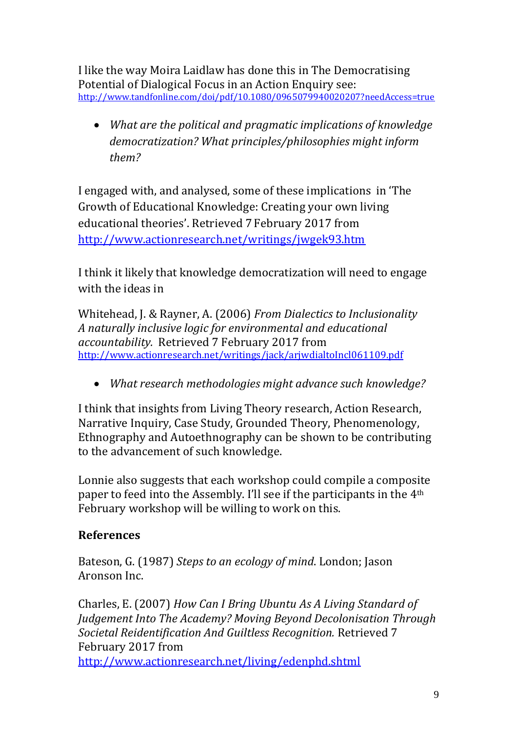I like the way Moira Laidlaw has done this in The Democratising Potential of Dialogical Focus in an Action Enquiry see: <http://www.tandfonline.com/doi/pdf/10.1080/0965079940020207?needAccess=true>

• *What are the political and pragmatic implications of knowledge democratization? What principles/philosophies might inform them?*

I engaged with, and analysed, some of these implications in 'The Growth of Educational Knowledge: Creating your own living educational theories'. Retrieved 7 February 2017 from <http://www.actionresearch.net/writings/jwgek93.htm>

I think it likely that knowledge democratization will need to engage with the ideas in

Whitehead, J. & Rayner, A. (2006) *From Dialectics to Inclusionality A naturally inclusive logic for environmental and educational accountability.* Retrieved 7 February 2017 from <http://www.actionresearch.net/writings/jack/arjwdialtoIncl061109.pdf>

• *What research methodologies might advance such knowledge?*

I think that insights from Living Theory research, Action Research, Narrative Inquiry, Case Study, Grounded Theory, Phenomenology, Ethnography and Autoethnography can be shown to be contributing to the advancement of such knowledge.

Lonnie also suggests that each workshop could compile a composite paper to feed into the Assembly. I'll see if the participants in the 4th February workshop will be willing to work on this.

## **References**

Bateson, G. (1987) *Steps to an ecology of mind*. London; Jason Aronson Inc.

Charles, E. (2007) *How Can I Bring Ubuntu As A Living Standard of Judgement Into The Academy? Moving Beyond Decolonisation Through Societal Reidentification And Guiltless Recognition.* Retrieved 7 February 2017 from

<http://www.actionresearch.net/living/edenphd.shtml>